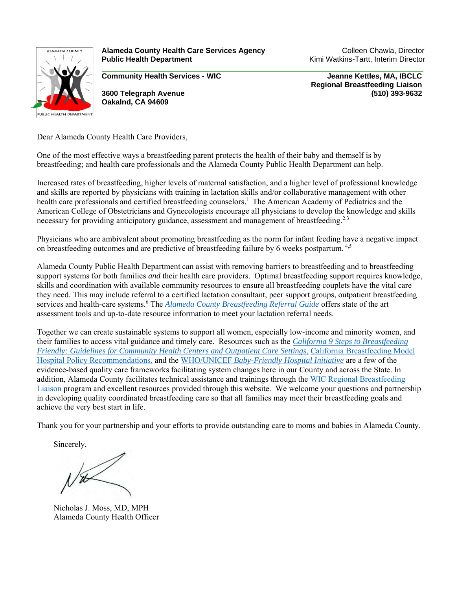

**Alameda County Health Care Services Agency Manual Colleen Chawla, Director Colleen Chawla, Director Public Health Department** Kimi Watkins-Tartt, Interim Director

**Community Health Services - WIC Jeanne Kettles, MA, IBCLC**

**Oakalnd, CA 94609**

 **Regional Breastfeeding Liaison 3600 Telegraph Avenue (510) 393-9632**

Dear Alameda County Health Care Providers,

One of the most effective ways a breastfeeding parent protects the health of their baby and themself is by breastfeeding; and health care professionals and the Alameda County Public Health Department can help.

Increased rates of breastfeeding, higher levels of maternal satisfaction, and a higher level of professional knowledge and skills are reported by physicians with training in lactation skills and/or collaborative management with other health care professionals and certified breastfeeding counselors.<sup>1</sup> The American Academy of Pediatrics and the American College of Obstetricians and Gynecologists encourage all physicians to develop the knowledge and skills necessary for providing anticipatory guidance, assessment and management of breastfeeding.<sup>2.3</sup>

Physicians who are ambivalent about promoting breastfeeding as the norm for infant feeding have a negative impact on breastfeeding outcomes and are predictive of breastfeeding failure by 6 weeks postpartum. 4,5

Alameda County Public Health Department can assist with removing barriers to breastfeeding and to breastfeeding support systems for both families *and* their health care providers. Optimal breastfeeding support requires knowledge, skills and coordination with available community resources to ensure all breastfeeding couplets have the vital care they need. This may include referral to a certified lactation consultant, peer support groups, outpatient breastfeeding services and health-care systems.<sup>6</sup> The *[Alameda County Breastfeeding Referral Guide](https://acphd.org/acbreastfeeds/health-care-providers/referral-guide/)* offers state of the art assessment tools and up-to-date resource information to meet your lactation referral needs.

Together we can create sustainable systems to support all women, especially low-income and minority women, and their families to access vital guidance and timely care. Resources such as the *[California 9 Steps to Breastfeeding](https://acphd.org/acbreastfeeds/health-care-providers/9-steps/)  [Friendly: Guidelines for Community Health Centers and Outpatient Care Settings](https://acphd.org/acbreastfeeds/health-care-providers/9-steps/)*, [California Breastfeeding Model](https://www.cdph.ca.gov/Programs/CFH/DMCAH/Breastfeeding/Pages/Guidelines-and-Resources-Hospitals.aspx)  [Hospital Policy Recommendations,](https://www.cdph.ca.gov/Programs/CFH/DMCAH/Breastfeeding/Pages/Guidelines-and-Resources-Hospitals.aspx) and the WHO/UNICEF *[Baby-Friendly Hospital Initiative](https://www.who.int/activities/promoting-baby-friendly-hospitals)* are a few of the evidence-based quality care frameworks facilitating system changes here in our County and across the State. In addition, Alameda County facilitates technical assistance and trainings through the [WIC Regional Breastfeeding](https://www.cdph.ca.gov/Programs/CFH/DWICSN/Pages/HealthCareProviders.aspx)  [Liaison](https://www.cdph.ca.gov/Programs/CFH/DWICSN/Pages/HealthCareProviders.aspx) program and excellent resources provided through this website. We welcome your questions and partnership in developing quality coordinated breastfeeding care so that all families may meet their breastfeeding goals and achieve the very best start in life.

Thank you for your partnership and your efforts to provide outstanding care to moms and babies in Alameda County.

Sincerely,

Nicholas J. Moss, MD, MPH Alameda County Health Officer